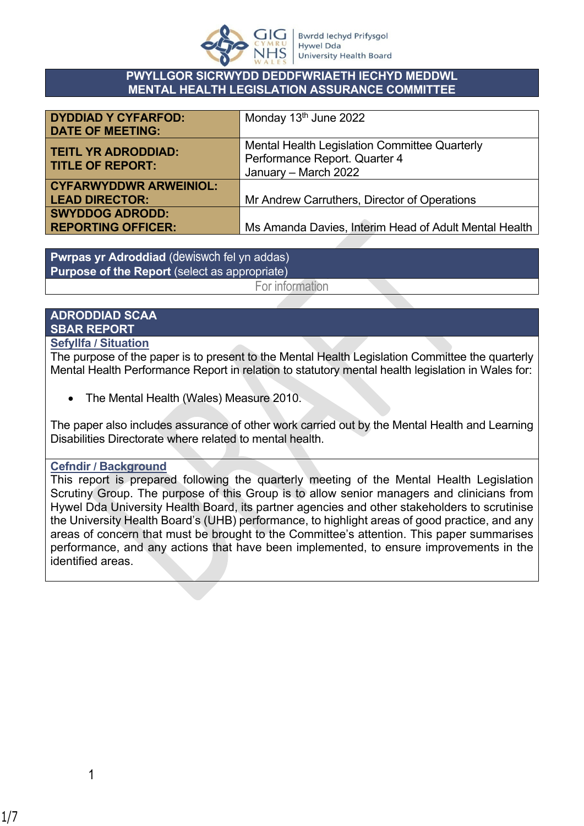

#### **PWYLLGOR SICRWYDD DEDDFWRIAETH IECHYD MEDDWL MENTAL HEALTH LEGISLATION ASSURANCE COMMITTEE**

| <b>DYDDIAD Y CYFARFOD:</b><br><b>DATE OF MEETING:</b>  | Monday 13 <sup>th</sup> June 2022                                                                      |
|--------------------------------------------------------|--------------------------------------------------------------------------------------------------------|
| <b>TEITL YR ADRODDIAD:</b><br><b>TITLE OF REPORT:</b>  | Mental Health Legislation Committee Quarterly<br>Performance Report. Quarter 4<br>January - March 2022 |
| <b>CYFARWYDDWR ARWEINIOL:</b><br><b>LEAD DIRECTOR:</b> | Mr Andrew Carruthers, Director of Operations                                                           |
| <b>SWYDDOG ADRODD:</b><br><b>REPORTING OFFICER:</b>    | Ms Amanda Davies, Interim Head of Adult Mental Health                                                  |

**Pwrpas yr Adroddiad** (dewiswch fel yn addas) **Purpose of the Report** (select as appropriate)

For information

# **ADRODDIAD SCAA SBAR REPORT**

#### **Sefyllfa / Situation**

The purpose of the paper is to present to the Mental Health Legislation Committee the quarterly Mental Health Performance Report in relation to statutory mental health legislation in Wales for:

• The Mental Health (Wales) Measure 2010.

The paper also includes assurance of other work carried out by the Mental Health and Learning Disabilities Directorate where related to mental health.

#### **Cefndir / Background**

This report is prepared following the quarterly meeting of the Mental Health Legislation Scrutiny Group. The purpose of this Group is to allow senior managers and clinicians from Hywel Dda University Health Board, its partner agencies and other stakeholders to scrutinise the University Health Board's (UHB) performance, to highlight areas of good practice, and any areas of concern that must be brought to the Committee's attention. This paper summarises performance, and any actions that have been implemented, to ensure improvements in the identified areas.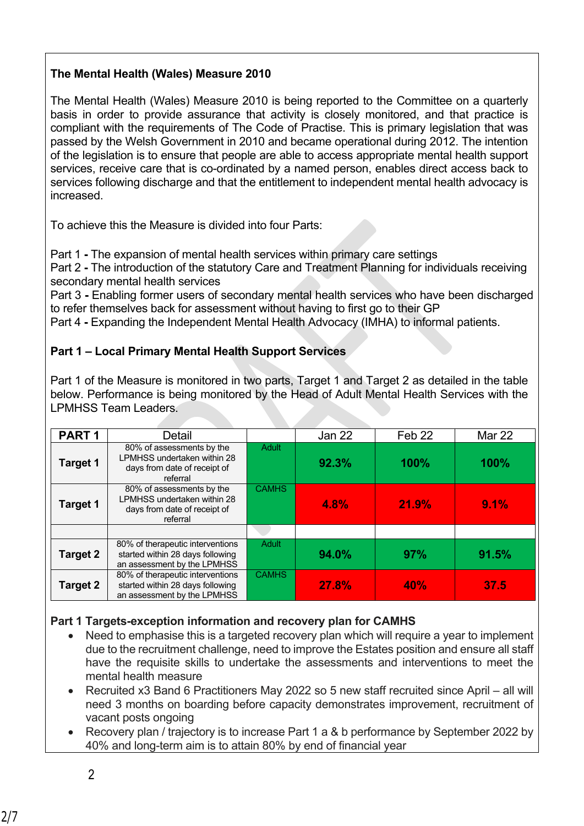## **The Mental Health (Wales) Measure 2010**

The Mental Health (Wales) Measure 2010 is being reported to the Committee on a quarterly basis in order to provide assurance that activity is closely monitored, and that practice is compliant with the requirements of The Code of Practise. This is primary legislation that was passed by the Welsh Government in 2010 and became operational during 2012. The intention of the legislation is to ensure that people are able to access appropriate mental health support services, receive care that is co-ordinated by a named person, enables direct access back to services following discharge and that the entitlement to independent mental health advocacy is increased.

To achieve this the Measure is divided into four Parts:

Part 1 **-** The expansion of mental health services within primary care settings

Part 2 **-** The introduction of the statutory Care and Treatment Planning for individuals receiving secondary mental health services

Part 3 **-** Enabling former users of secondary mental health services who have been discharged to refer themselves back for assessment without having to first go to their GP

Part 4 **-** Expanding the Independent Mental Health Advocacy (IMHA) to informal patients.

## **Part 1 – Local Primary Mental Health Support Services**

Part 1 of the Measure is monitored in two parts, Target 1 and Target 2 as detailed in the table below. Performance is being monitored by the Head of Adult Mental Health Services with the LPMHSS Team Leaders.

| PART <sub>1</sub> | Detail                                                                                               |              | Jan 22 | Feb 22     | Mar 22 |
|-------------------|------------------------------------------------------------------------------------------------------|--------------|--------|------------|--------|
| <b>Target 1</b>   | 80% of assessments by the<br>LPMHSS undertaken within 28<br>days from date of receipt of<br>referral | <b>Adult</b> | 92.3%  | 100%       | 100%   |
| <b>Target 1</b>   | 80% of assessments by the<br>LPMHSS undertaken within 28<br>days from date of receipt of<br>referral | <b>CAMHS</b> | 4.8%   | 21.9%      | 9.1%   |
|                   |                                                                                                      |              |        |            |        |
| <b>Target 2</b>   | 80% of therapeutic interventions<br>started within 28 days following<br>an assessment by the LPMHSS  | Adult        | 94.0%  | 97%        | 91.5%  |
| <b>Target 2</b>   | 80% of therapeutic interventions<br>started within 28 days following<br>an assessment by the LPMHSS  | <b>CAMHS</b> | 27.8%  | <b>40%</b> | 37.5   |

### **Part 1 Targets-exception information and recovery plan for CAMHS**

- Need to emphasise this is a targeted recovery plan which will require a year to implement due to the recruitment challenge, need to improve the Estates position and ensure all staff have the requisite skills to undertake the assessments and interventions to meet the mental health measure
- Recruited x3 Band 6 Practitioners May 2022 so 5 new staff recruited since April all will need 3 months on boarding before capacity demonstrates improvement, recruitment of vacant posts ongoing
- Recovery plan / trajectory is to increase Part 1 a & b performance by September 2022 by 40% and long-term aim is to attain 80% by end of financial year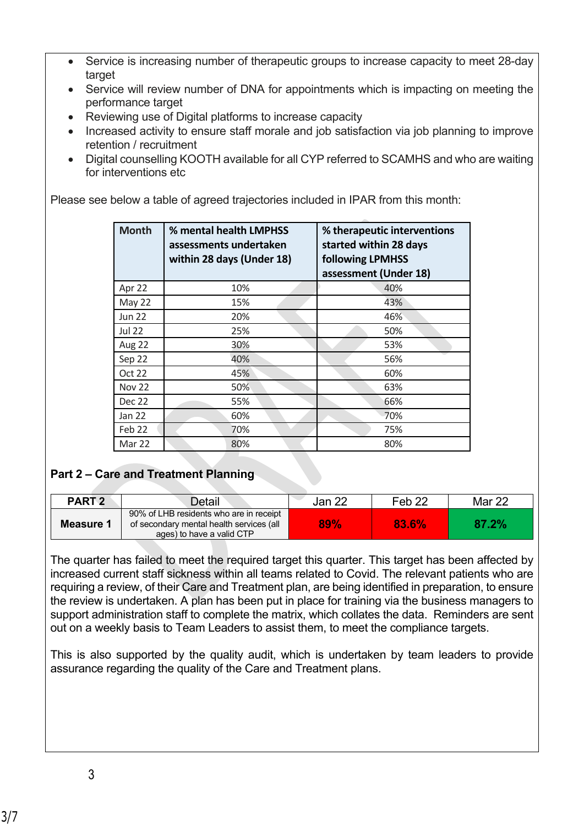- Service is increasing number of therapeutic groups to increase capacity to meet 28-day target
- Service will review number of DNA for appointments which is impacting on meeting the performance target
- Reviewing use of Digital platforms to increase capacity
- Increased activity to ensure staff morale and job satisfaction via job planning to improve retention / recruitment
- Digital counselling KOOTH available for all CYP referred to SCAMHS and who are waiting for interventions etc

Please see below a table of agreed trajectories included in IPAR from this month:

| <b>Month</b>  | % mental health LMPHSS<br>assessments undertaken<br>within 28 days (Under 18) | % therapeutic interventions<br>started within 28 days<br><b>following LPMHSS</b><br>assessment (Under 18) |
|---------------|-------------------------------------------------------------------------------|-----------------------------------------------------------------------------------------------------------|
| Apr 22        | 10%                                                                           | 40%                                                                                                       |
| May 22        | 15%                                                                           | 43%                                                                                                       |
| <b>Jun 22</b> | 20%                                                                           | 46%                                                                                                       |
| <b>Jul 22</b> | 25%                                                                           | 50%                                                                                                       |
| Aug 22        | 30%                                                                           | 53%                                                                                                       |
| Sep 22        | 40%                                                                           | 56%                                                                                                       |
| Oct 22        | 45%                                                                           | 60%                                                                                                       |
| <b>Nov 22</b> | 50%                                                                           | 63%                                                                                                       |
| <b>Dec 22</b> | 55%                                                                           | 66%                                                                                                       |
| Jan 22        | 60%                                                                           | 70%                                                                                                       |
| Feb 22        | 70%                                                                           | 75%                                                                                                       |
| Mar 22        | 80%                                                                           | 80%                                                                                                       |

# **Part 2 – Care and Treatment Planning**

| PART <sub>2</sub> | Detail                                                                                                           | Jan 22 | Feb <sub>22</sub> | Mar 22 |
|-------------------|------------------------------------------------------------------------------------------------------------------|--------|-------------------|--------|
| Measure 1         | 90% of LHB residents who are in receipt<br>of secondary mental health services (all<br>ages) to have a valid CTP | 89%    | 83.6%             | 87.2%  |

The quarter has failed to meet the required target this quarter. This target has been affected by increased current staff sickness within all teams related to Covid. The relevant patients who are requiring a review, of their Care and Treatment plan, are being identified in preparation, to ensure the review is undertaken. A plan has been put in place for training via the business managers to support administration staff to complete the matrix, which collates the data. Reminders are sent out on a weekly basis to Team Leaders to assist them, to meet the compliance targets.

This is also supported by the quality audit, which is undertaken by team leaders to provide assurance regarding the quality of the Care and Treatment plans.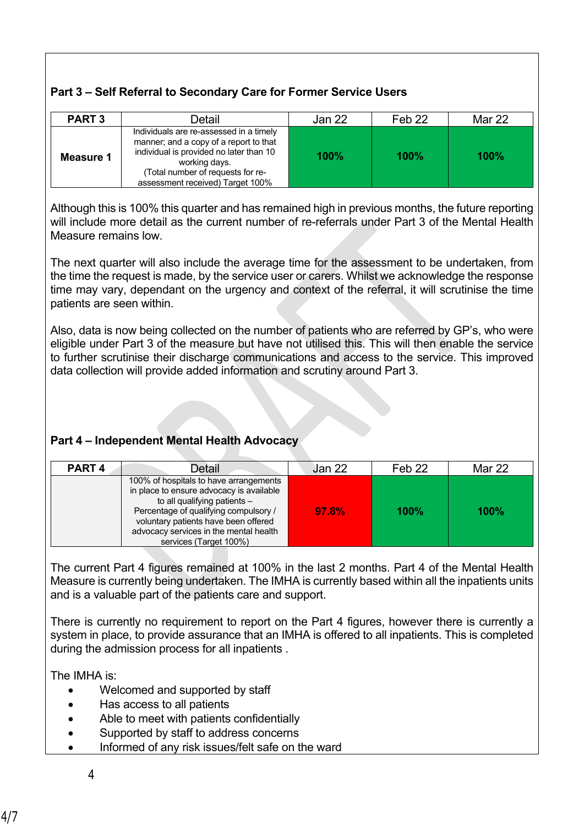# **Part 3 – Self Referral to Secondary Care for Former Service Users**

| <b>PART 3</b> | Detail                                                                                                                                                                                                                | Jan 22 | Feb <sub>22</sub> | Mar 22 |
|---------------|-----------------------------------------------------------------------------------------------------------------------------------------------------------------------------------------------------------------------|--------|-------------------|--------|
| Measure 1     | Individuals are re-assessed in a timely<br>manner; and a copy of a report to that<br>individual is provided no later than 10<br>working days.<br>Total number of requests for re-<br>assessment received) Target 100% | 100%   | 100%              | 100%   |

Although this is 100% this quarter and has remained high in previous months, the future reporting will include more detail as the current number of re-referrals under Part 3 of the Mental Health Measure remains low.

The next quarter will also include the average time for the assessment to be undertaken, from the time the request is made, by the service user or carers. Whilst we acknowledge the response time may vary, dependant on the urgency and context of the referral, it will scrutinise the time patients are seen within.

Also, data is now being collected on the number of patients who are referred by GP's, who were eligible under Part 3 of the measure but have not utilised this. This will then enable the service to further scrutinise their discharge communications and access to the service. This improved data collection will provide added information and scrutiny around Part 3.

# **Part 4 – Independent Mental Health Advocacy**

| PART <sub>4</sub><br>Detail                                                                                                                                                                                                                                             | <b>Jan 22</b> | Feb <sub>22</sub> | Mar 22      |
|-------------------------------------------------------------------------------------------------------------------------------------------------------------------------------------------------------------------------------------------------------------------------|---------------|-------------------|-------------|
| 100% of hospitals to have arrangements<br>in place to ensure advocacy is available<br>to all qualifying patients -<br>Percentage of qualifying compulsory /<br>voluntary patients have been offered<br>advocacy services in the mental health<br>services (Target 100%) | 97.8%         | $100\%$           | <b>100%</b> |

The current Part 4 figures remained at 100% in the last 2 months. Part 4 of the Mental Health Measure is currently being undertaken. The IMHA is currently based within all the inpatients units and is a valuable part of the patients care and support.

There is currently no requirement to report on the Part 4 figures, however there is currently a system in place, to provide assurance that an IMHA is offered to all inpatients. This is completed during the admission process for all inpatients .

The IMHA is:

- Welcomed and supported by staff
- Has access to all patients
- Able to meet with patients confidentially
- Supported by staff to address concerns
- Informed of any risk issues/felt safe on the ward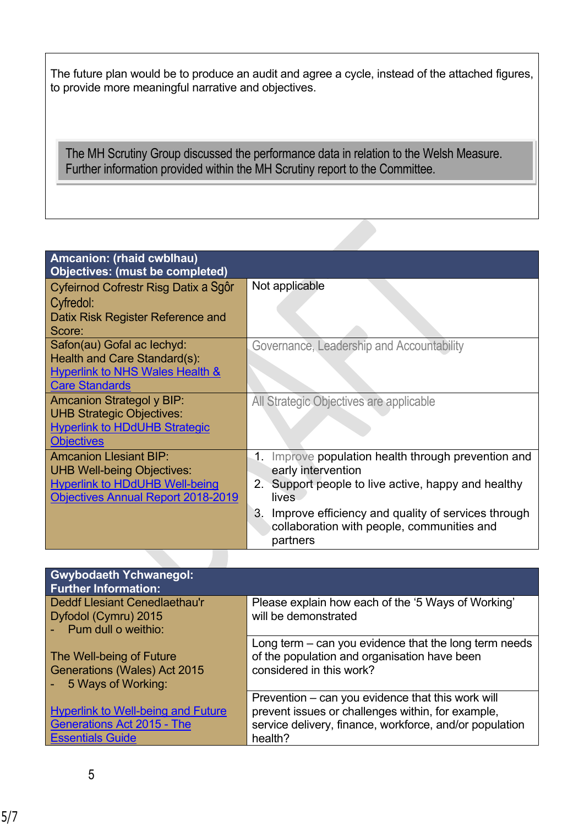The future plan would be to produce an audit and agree a cycle, instead of the attached figures, to provide more meaningful narrative and objectives.

The MH Scrutiny Group discussed the performance data in relation to the Welsh Measure. Further information provided within the MH Scrutiny report to the Committee.

| Amcanion: (rhaid cwblhau)<br><b>Objectives: (must be completed)</b>                                                                                      |                                                                                                                                              |
|----------------------------------------------------------------------------------------------------------------------------------------------------------|----------------------------------------------------------------------------------------------------------------------------------------------|
| Cyfeirnod Cofrestr Risg Datix a Sgôr                                                                                                                     | Not applicable                                                                                                                               |
| Cyfredol:<br>Datix Risk Register Reference and<br>Score:                                                                                                 |                                                                                                                                              |
| Safon(au) Gofal ac lechyd:<br><b>Health and Care Standard(s):</b><br><b>Hyperlink to NHS Wales Health &amp;</b>                                          | Governance, Leadership and Accountability                                                                                                    |
| <b>Care Standards</b>                                                                                                                                    |                                                                                                                                              |
| <b>Amcanion Strategol y BIP:</b><br><b>UHB Strategic Objectives:</b><br><b>Hyperlink to HDdUHB Strategic</b><br><b>Objectives</b>                        | All Strategic Objectives are applicable                                                                                                      |
| <b>Amcanion Llesiant BIP:</b><br><b>UHB Well-being Objectives:</b><br><b>Hyperlink to HDdUHB Well-being</b><br><b>Objectives Annual Report 2018-2019</b> | Improve population health through prevention and<br>1.<br>early intervention<br>2. Support people to live active, happy and healthy<br>lives |
|                                                                                                                                                          | Improve efficiency and quality of services through<br>3.<br>collaboration with people, communities and<br>partners                           |

| <b>Gwybodaeth Ychwanegol:</b><br><b>Further Information:</b> |                                                         |
|--------------------------------------------------------------|---------------------------------------------------------|
| Deddf Llesiant Cenedlaethau'r                                | Please explain how each of the '5 Ways of Working'      |
| Dyfodol (Cymru) 2015                                         | will be demonstrated                                    |
| - Pum dull o weithio:                                        |                                                         |
|                                                              | Long term $-$ can you evidence that the long term needs |
| The Well-being of Future                                     | of the population and organisation have been            |
| Generations (Wales) Act 2015                                 | considered in this work?                                |
| 5 Ways of Working:                                           |                                                         |
|                                                              | Prevention – can you evidence that this work will       |
| <b>Hyperlink to Well-being and Future</b>                    | prevent issues or challenges within, for example,       |
| <b>Generations Act 2015 - The</b>                            | service delivery, finance, workforce, and/or population |
| <b>Essentials Guide</b>                                      | health?                                                 |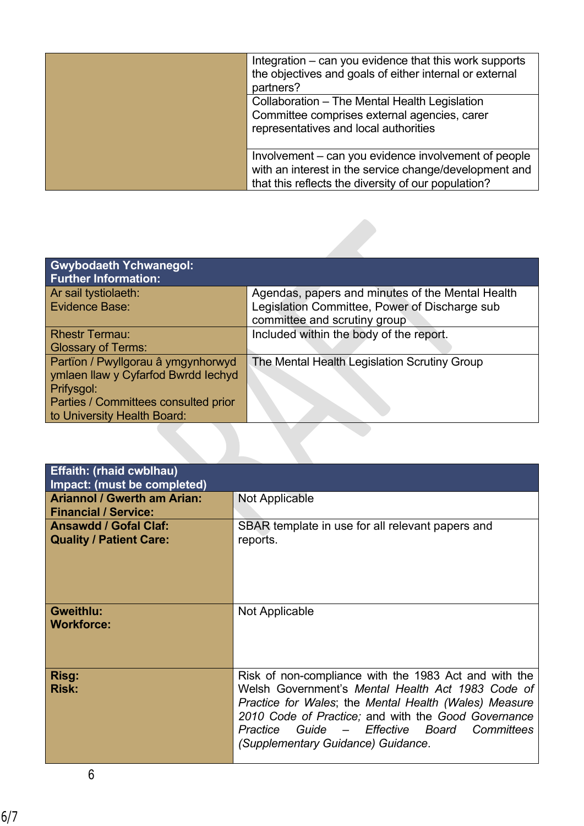| Integration – can you evidence that this work supports<br>the objectives and goals of either internal or external<br>partners?<br>Collaboration - The Mental Health Legislation<br>Committee comprises external agencies, carer<br>representatives and local authorities |
|--------------------------------------------------------------------------------------------------------------------------------------------------------------------------------------------------------------------------------------------------------------------------|
| Involvement – can you evidence involvement of people<br>with an interest in the service change/development and<br>that this reflects the diversity of our population?                                                                                                    |

| <b>Gwybodaeth Ychwanegol:</b><br><b>Further Information:</b>                            |                                                                               |
|-----------------------------------------------------------------------------------------|-------------------------------------------------------------------------------|
| Ar sail tystiolaeth:                                                                    | Agendas, papers and minutes of the Mental Health                              |
| Evidence Base:                                                                          | Legislation Committee, Power of Discharge sub<br>committee and scrutiny group |
| <b>Rhestr Termau:</b>                                                                   | Included within the body of the report.                                       |
| <b>Glossary of Terms:</b>                                                               |                                                                               |
| Partïon / Pwyllgorau â ymgynhorwyd<br>ymlaen llaw y Cyfarfod Bwrdd Iechyd<br>Prifysgol: | The Mental Health Legislation Scrutiny Group                                  |
| Parties / Committees consulted prior<br>to University Health Board:                     |                                                                               |

| <b>Effaith: (rhaid cwblhau)</b><br>Impact: (must be completed)    |                                                                                                                                                                                                                                                                                                                 |
|-------------------------------------------------------------------|-----------------------------------------------------------------------------------------------------------------------------------------------------------------------------------------------------------------------------------------------------------------------------------------------------------------|
| <b>Ariannol / Gwerth am Arian:</b><br><b>Financial / Service:</b> | Not Applicable                                                                                                                                                                                                                                                                                                  |
| <b>Ansawdd / Gofal Claf:</b><br><b>Quality / Patient Care:</b>    | SBAR template in use for all relevant papers and<br>reports.                                                                                                                                                                                                                                                    |
| <b>Gweithlu:</b><br><b>Workforce:</b>                             | Not Applicable                                                                                                                                                                                                                                                                                                  |
| Risg:<br><b>Risk:</b>                                             | Risk of non-compliance with the 1983 Act and with the<br>Welsh Government's Mental Health Act 1983 Code of<br>Practice for Wales; the Mental Health (Wales) Measure<br>2010 Code of Practice; and with the Good Governance<br>Practice Guide - Effective Board Committees<br>(Supplementary Guidance) Guidance. |

6